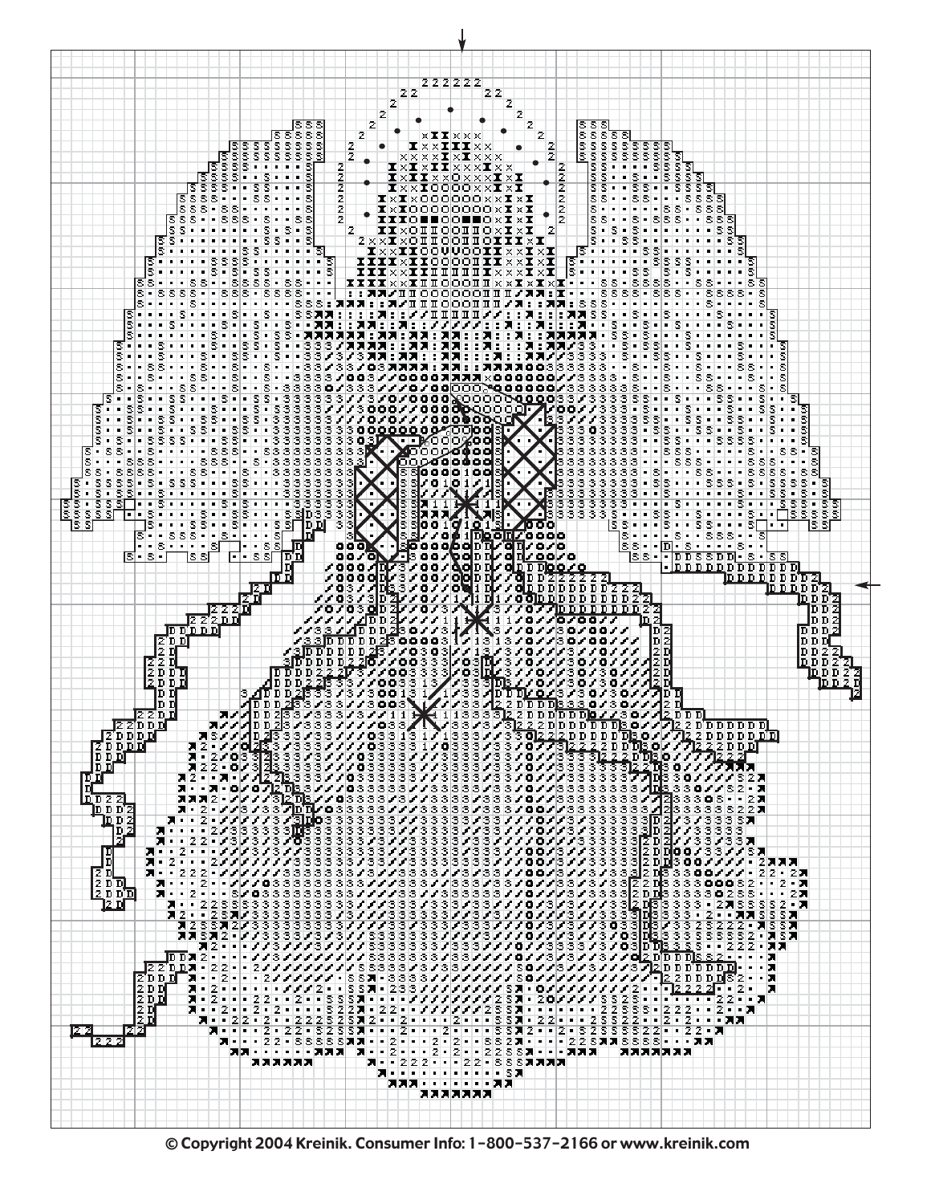

© Copyright 2004 Kreinik. Consumer Info: 1-800-537-2166 or www.kreinik.com